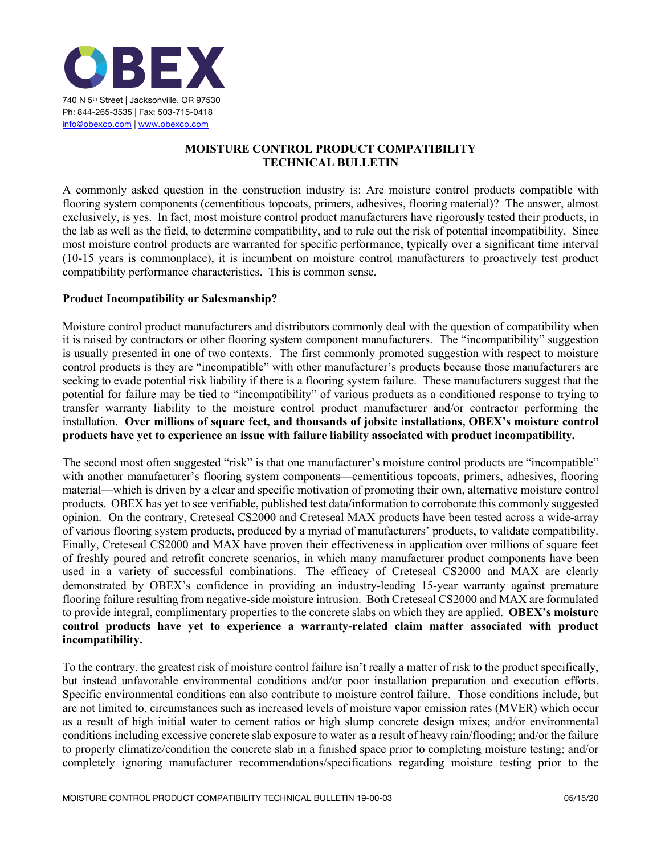

# **MOISTURE CONTROL PRODUCT COMPATIBILITY TECHNICAL BULLETIN**

A commonly asked question in the construction industry is: Are moisture control products compatible with flooring system components (cementitious topcoats, primers, adhesives, flooring material)? The answer, almost exclusively, is yes. In fact, most moisture control product manufacturers have rigorously tested their products, in the lab as well as the field, to determine compatibility, and to rule out the risk of potential incompatibility. Since most moisture control products are warranted for specific performance, typically over a significant time interval (10-15 years is commonplace), it is incumbent on moisture control manufacturers to proactively test product compatibility performance characteristics. This is common sense.

## **Product Incompatibility or Salesmanship?**

Moisture control product manufacturers and distributors commonly deal with the question of compatibility when it is raised by contractors or other flooring system component manufacturers. The "incompatibility" suggestion is usually presented in one of two contexts. The first commonly promoted suggestion with respect to moisture control products is they are "incompatible" with other manufacturer's products because those manufacturers are seeking to evade potential risk liability if there is a flooring system failure. These manufacturers suggest that the potential for failure may be tied to "incompatibility" of various products as a conditioned response to trying to transfer warranty liability to the moisture control product manufacturer and/or contractor performing the installation. **Over millions of square feet, and thousands of jobsite installations, OBEX's moisture control products have yet to experience an issue with failure liability associated with product incompatibility.**

The second most often suggested "risk" is that one manufacturer's moisture control products are "incompatible" with another manufacturer's flooring system components—cementitious topcoats, primers, adhesives, flooring material—which is driven by a clear and specific motivation of promoting their own, alternative moisture control products. OBEX has yet to see verifiable, published test data/information to corroborate this commonly suggested opinion. On the contrary, Creteseal CS2000 and Creteseal MAX products have been tested across a wide-array of various flooring system products, produced by a myriad of manufacturers' products, to validate compatibility. Finally, Creteseal CS2000 and MAX have proven their effectiveness in application over millions of square feet of freshly poured and retrofit concrete scenarios, in which many manufacturer product components have been used in a variety of successful combinations. The efficacy of Creteseal CS2000 and MAX are clearly demonstrated by OBEX's confidence in providing an industry-leading 15-year warranty against premature flooring failure resulting from negative-side moisture intrusion. Both Creteseal CS2000 and MAX are formulated to provide integral, complimentary properties to the concrete slabs on which they are applied. **OBEX's moisture control products have yet to experience a warranty-related claim matter associated with product incompatibility.**

To the contrary, the greatest risk of moisture control failure isn't really a matter of risk to the product specifically, but instead unfavorable environmental conditions and/or poor installation preparation and execution efforts. Specific environmental conditions can also contribute to moisture control failure. Those conditions include, but are not limited to, circumstances such as increased levels of moisture vapor emission rates (MVER) which occur as a result of high initial water to cement ratios or high slump concrete design mixes; and/or environmental conditions including excessive concrete slab exposure to water as a result of heavy rain/flooding; and/or the failure to properly climatize/condition the concrete slab in a finished space prior to completing moisture testing; and/or completely ignoring manufacturer recommendations/specifications regarding moisture testing prior to the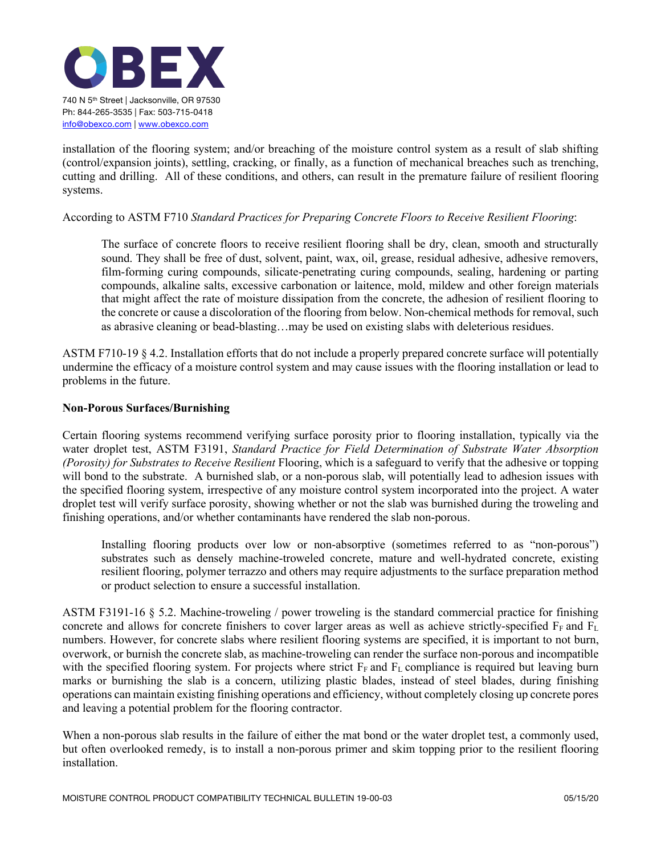

installation of the flooring system; and/or breaching of the moisture control system as a result of slab shifting (control/expansion joints), settling, cracking, or finally, as a function of mechanical breaches such as trenching, cutting and drilling. All of these conditions, and others, can result in the premature failure of resilient flooring systems.

## According to ASTM F710 *Standard Practices for Preparing Concrete Floors to Receive Resilient Flooring*:

The surface of concrete floors to receive resilient flooring shall be dry, clean, smooth and structurally sound. They shall be free of dust, solvent, paint, wax, oil, grease, residual adhesive, adhesive removers, film-forming curing compounds, silicate-penetrating curing compounds, sealing, hardening or parting compounds, alkaline salts, excessive carbonation or laitence, mold, mildew and other foreign materials that might affect the rate of moisture dissipation from the concrete, the adhesion of resilient flooring to the concrete or cause a discoloration of the flooring from below. Non-chemical methods for removal, such as abrasive cleaning or bead-blasting…may be used on existing slabs with deleterious residues.

ASTM F710-19 § 4.2. Installation efforts that do not include a properly prepared concrete surface will potentially undermine the efficacy of a moisture control system and may cause issues with the flooring installation or lead to problems in the future.

#### **Non-Porous Surfaces/Burnishing**

Certain flooring systems recommend verifying surface porosity prior to flooring installation, typically via the water droplet test, ASTM F3191, *Standard Practice for Field Determination of Substrate Water Absorption (Porosity) for Substrates to Receive Resilient* Flooring, which is a safeguard to verify that the adhesive or topping will bond to the substrate. A burnished slab, or a non-porous slab, will potentially lead to adhesion issues with the specified flooring system, irrespective of any moisture control system incorporated into the project. A water droplet test will verify surface porosity, showing whether or not the slab was burnished during the troweling and finishing operations, and/or whether contaminants have rendered the slab non-porous.

Installing flooring products over low or non-absorptive (sometimes referred to as "non-porous") substrates such as densely machine-troweled concrete, mature and well-hydrated concrete, existing resilient flooring, polymer terrazzo and others may require adjustments to the surface preparation method or product selection to ensure a successful installation.

ASTM F3191-16 § 5.2. Machine-troweling / power troweling is the standard commercial practice for finishing concrete and allows for concrete finishers to cover larger areas as well as achieve strictly-specified  $F_F$  and  $F_L$ numbers. However, for concrete slabs where resilient flooring systems are specified, it is important to not burn, overwork, or burnish the concrete slab, as machine-troweling can render the surface non-porous and incompatible with the specified flooring system. For projects where strict  $F_F$  and  $F_L$  compliance is required but leaving burn marks or burnishing the slab is a concern, utilizing plastic blades, instead of steel blades, during finishing operations can maintain existing finishing operations and efficiency, without completely closing up concrete pores and leaving a potential problem for the flooring contractor.

When a non-porous slab results in the failure of either the mat bond or the water droplet test, a commonly used, but often overlooked remedy, is to install a non-porous primer and skim topping prior to the resilient flooring installation.